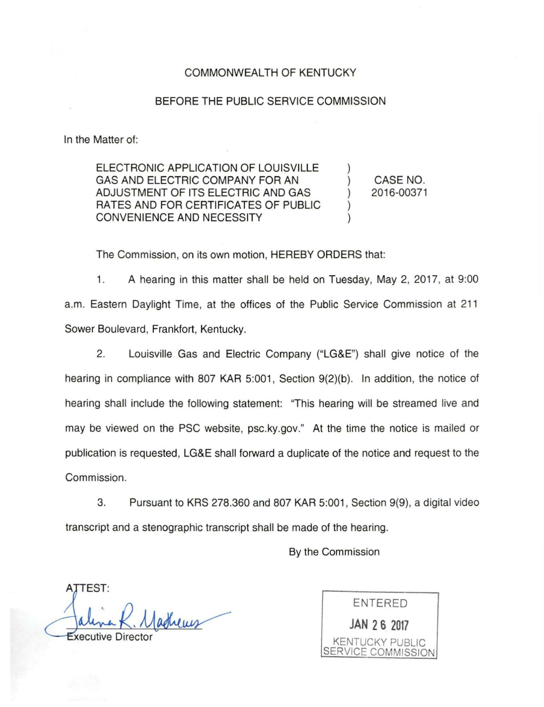## COMMONWEALTH OF KENTUCKY

## BEFORE THE PUBLIC SERVICE COMMISSION

In the Matter of:

ELECTRONIC APPLICATION OF LOUISVILLE GAS AND ELECTRIC COMPANY FOR AN ADJUSTMENT OF ITS ELECTRIC AND GAS RATES AND FOR CERTIFICATES OF PUBLIC CONVENIENCE AND NECESSITY ) ) ) ) )

CASE NO. 2016-00371

The Commission, on its own motion, HEREBY ORDERS that:

1. A hearing in this matter shall be held on Tuesday, May 2, 2017, at 9:00 a.m. Eastern Daylight Time, at the offices of the Public Service Commission at 211 Sower Boulevard, Frankfort, Kentucky.

2. Louisville Gas and Electric Company ("LG&E") shall give notice of the hearing in compliance with 807 KAR 5:001, Section 9(2)(b). In addition, the notice of hearing shall include the following statement: "This hearing will be streamed live and may be viewed on the PSC website, psc.ky.gov." At the time the notice is mailed or publication is requested, LG&E shall forward a duplicate of the notice and request to the Commission.

3. Pursuant to KRS 278.360 and 807 KAR 5:001 , Section 9(9), a digital video transcript and a stenographic transcript shall be made of the hearing.

By the Commission

ATTEST: xecutive Directo

ENTERED **JAN 2 6 2017**  KENTUCKY PUBLIC SERVICE COMMISSION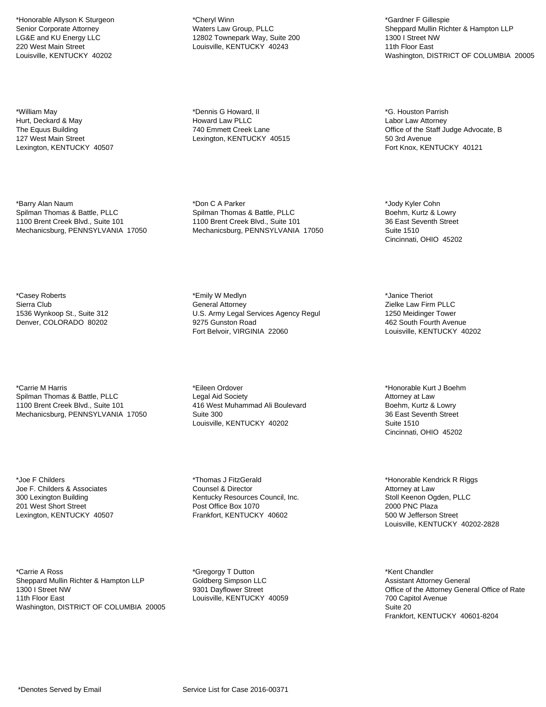\*Honorable Allyson K Sturgeon Senior Corporate Attorney LG&E and KU Energy LLC 220 West Main Street Louisville, KENTUCKY 40202

\*William May Hurt, Deckard & May The Equus Building 127 West Main Street Lexington, KENTUCKY 40507

\*Barry Alan Naum Spilman Thomas & Battle, PLLC 1100 Brent Creek Blvd., Suite 101 Mechanicsburg, PENNSYLVANIA 17050

\*Casey Roberts Sierra Club 1536 Wynkoop St., Suite 312 Denver, COLORADO 80202

\*Carrie M Harris Spilman Thomas & Battle, PLLC 1100 Brent Creek Blvd., Suite 101 Mechanicsburg, PENNSYLVANIA 17050

\*Joe F Childers Joe F. Childers & Associates 300 Lexington Building 201 West Short Street Lexington, KENTUCKY 40507

\*Carrie A Ross Sheppard Mullin Richter & Hampton LLP 1300 I Street NW 11th Floor East Washington, DISTRICT OF COLUMBIA 20005

\*Cheryl Winn Waters Law Group, PLLC 12802 Townepark Way, Suite 200 Louisville, KENTUCKY 40243

\*Dennis G Howard, II Howard Law PLLC 740 Emmett Creek Lane Lexington, KENTUCKY 40515

\*Don C A Parker Spilman Thomas & Battle, PLLC 1100 Brent Creek Blvd., Suite 101 Mechanicsburg, PENNSYLVANIA 17050

\*Emily W Medlyn General Attorney U.S. Army Legal Services Agency Regul 9275 Gunston Road Fort Belvoir, VIRGINIA 22060

\*Eileen Ordover Legal Aid Society 416 West Muhammad Ali Boulevard Suite 300 Louisville, KENTUCKY 40202

\*Thomas J FitzGerald Counsel & Director Kentucky Resources Council, Inc. Post Office Box 1070 Frankfort, KENTUCKY 40602

\*Gregorgy T Dutton Goldberg Simpson LLC 9301 Dayflower Street Louisville, KENTUCKY 40059

\*Gardner F Gillespie Sheppard Mullin Richter & Hampton LLP 1300 I Street NW 11th Floor East Washington, DISTRICT OF COLUMBIA 20005

\*G. Houston Parrish Labor Law Attorney Office of the Staff Judge Advocate, B 50 3rd Avenue Fort Knox, KENTUCKY 40121

\*Jody Kyler Cohn Boehm, Kurtz & Lowry 36 East Seventh Street Suite 1510 Cincinnati, OHIO 45202

\*Janice Theriot Zielke Law Firm PLLC 1250 Meidinger Tower 462 South Fourth Avenue Louisville, KENTUCKY 40202

\*Honorable Kurt J Boehm Attorney at Law Boehm, Kurtz & Lowry 36 East Seventh Street Suite 1510 Cincinnati, OHIO 45202

\*Honorable Kendrick R Riggs Attorney at Law Stoll Keenon Ogden, PLLC 2000 PNC Plaza 500 W Jefferson Street Louisville, KENTUCKY 40202-2828

\*Kent Chandler Assistant Attorney General Office of the Attorney General Office of Rate 700 Capitol Avenue Suite 20 Frankfort, KENTUCKY 40601-8204